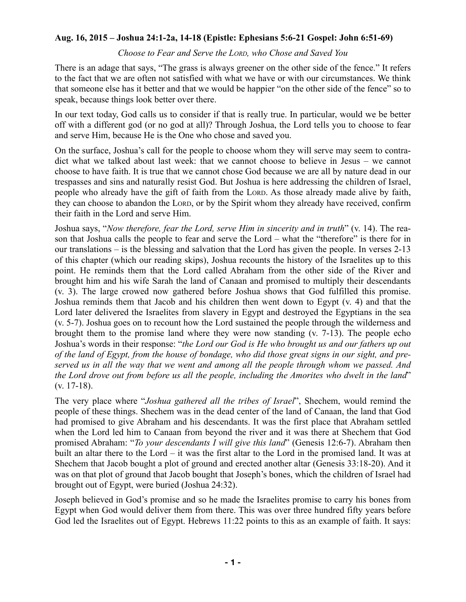## **Aug. 16, 2015 – Joshua 24:1-2a, 14-18 (Epistle: Ephesians 5:6-21 Gospel: John 6:51-69)**

## *Choose to Fear and Serve the LORD, who Chose and Saved You*

There is an adage that says, "The grass is always greener on the other side of the fence." It refers to the fact that we are often not satisfied with what we have or with our circumstances. We think that someone else has it better and that we would be happier "on the other side of the fence" so to speak, because things look better over there.

In our text today, God calls us to consider if that is really true. In particular, would we be better off with a different god (or no god at all)? Through Joshua, the Lord tells you to choose to fear and serve Him, because He is the One who chose and saved you.

On the surface, Joshua's call for the people to choose whom they will serve may seem to contradict what we talked about last week: that we cannot choose to believe in Jesus – we cannot choose to have faith. It is true that we cannot chose God because we are all by nature dead in our trespasses and sins and naturally resist God. But Joshua is here addressing the children of Israel, people who already have the gift of faith from the LORD. As those already made alive by faith, they can choose to abandon the LORD, or by the Spirit whom they already have received, confirm their faith in the Lord and serve Him.

Joshua says, "*Now therefore, fear the Lord, serve Him in sincerity and in truth*" (v. 14). The reason that Joshua calls the people to fear and serve the Lord – what the "therefore" is there for in our translations – is the blessing and salvation that the Lord has given the people. In verses 2-13 of this chapter (which our reading skips), Joshua recounts the history of the Israelites up to this point. He reminds them that the Lord called Abraham from the other side of the River and brought him and his wife Sarah the land of Canaan and promised to multiply their descendants (v. 3). The large crowed now gathered before Joshua shows that God fulfilled this promise. Joshua reminds them that Jacob and his children then went down to Egypt (v. 4) and that the Lord later delivered the Israelites from slavery in Egypt and destroyed the Egyptians in the sea (v. 5-7). Joshua goes on to recount how the Lord sustained the people through the wilderness and brought them to the promise land where they were now standing (v. 7-13). The people echo Joshua's words in their response: "*the Lord our God is He who brought us and our fathers up out* of the land of Egypt, from the house of bondage, who did those great signs in our sight, and pre*served us in all the way that we went and among all the people through whom we passed. And the Lord drove out from before us all the people, including the Amorites who dwelt in the land*" (v. 17-18).

The very place where "*Joshua gathered all the tribes of Israel*", Shechem, would remind the people of these things. Shechem was in the dead center of the land of Canaan, the land that God had promised to give Abraham and his descendants. It was the first place that Abraham settled when the Lord led him to Canaan from beyond the river and it was there at Shechem that God promised Abraham: "*To your descendants I will give this land*" (Genesis 12:6-7). Abraham then built an altar there to the Lord – it was the first altar to the Lord in the promised land. It was at Shechem that Jacob bought a plot of ground and erected another altar (Genesis 33:18-20). And it was on that plot of ground that Jacob bought that Joseph's bones, which the children of Israel had brought out of Egypt, were buried (Joshua 24:32).

Joseph believed in God's promise and so he made the Israelites promise to carry his bones from Egypt when God would deliver them from there. This was over three hundred fifty years before God led the Israelites out of Egypt. Hebrews 11:22 points to this as an example of faith. It says: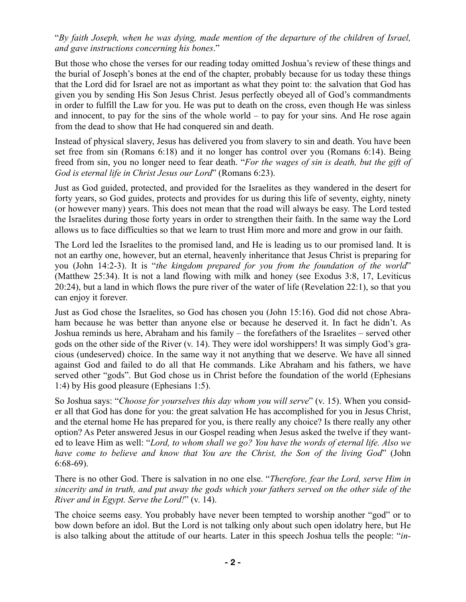"*By faith Joseph, when he was dying, made mention of the departure of the children of Israel, and gave instructions concerning his bones*."

But those who chose the verses for our reading today omitted Joshua's review of these things and the burial of Joseph's bones at the end of the chapter, probably because for us today these things that the Lord did for Israel are not as important as what they point to: the salvation that God has given you by sending His Son Jesus Christ. Jesus perfectly obeyed all of God's commandments in order to fulfill the Law for you. He was put to death on the cross, even though He was sinless and innocent, to pay for the sins of the whole world  $-$  to pay for your sins. And He rose again from the dead to show that He had conquered sin and death.

Instead of physical slavery, Jesus has delivered you from slavery to sin and death. You have been set free from sin (Romans 6:18) and it no longer has control over you (Romans 6:14). Being freed from sin, you no longer need to fear death. "*For the wages of sin is death, but the gift of God is eternal life in Christ Jesus our Lord*" (Romans 6:23).

Just as God guided, protected, and provided for the Israelites as they wandered in the desert for forty years, so God guides, protects and provides for us during this life of seventy, eighty, ninety (or however many) years. This does not mean that the road will always be easy. The Lord tested the Israelites during those forty years in order to strengthen their faith. In the same way the Lord allows us to face difficulties so that we learn to trust Him more and more and grow in our faith.

The Lord led the Israelites to the promised land, and He is leading us to our promised land. It is not an earthy one, however, but an eternal, heavenly inheritance that Jesus Christ is preparing for you (John 14:2-3). It is "*the kingdom prepared for you from the foundation of the world*" (Matthew 25:34). It is not a land flowing with milk and honey (see Exodus 3:8, 17, Leviticus 20:24), but a land in which flows the pure river of the water of life (Revelation 22:1), so that you can enjoy it forever.

Just as God chose the Israelites, so God has chosen you (John 15:16). God did not chose Abraham because he was better than anyone else or because he deserved it. In fact he didn't. As Joshua reminds us here, Abraham and his family – the forefathers of the Israelites – served other gods on the other side of the River (v. 14). They were idol worshippers! It was simply God's gracious (undeserved) choice. In the same way it not anything that we deserve. We have all sinned against God and failed to do all that He commands. Like Abraham and his fathers, we have served other "gods". But God chose us in Christ before the foundation of the world (Ephesians 1:4) by His good pleasure (Ephesians 1:5).

So Joshua says: "*Choose for yourselves this day whom you will serve*" (v. 15). When you consider all that God has done for you: the great salvation He has accomplished for you in Jesus Christ, and the eternal home He has prepared for you, is there really any choice? Is there really any other option? As Peter answered Jesus in our Gospel reading when Jesus asked the twelve if they wanted to leave Him as well: "*Lord, to whom shall we go? You have the words of eternal life. Also we have come to believe and know that You are the Christ, the Son of the living God*" (John 6:68-69).

There is no other God. There is salvation in no one else. "*Therefore, fear the Lord, serve Him in* sincerity and in truth, and put away the gods which your fathers served on the other side of the *River and in Egypt. Serve the Lord!*" (v. 14).

The choice seems easy. You probably have never been tempted to worship another "god" or to bow down before an idol. But the Lord is not talking only about such open idolatry here, but He is also talking about the attitude of our hearts. Later in this speech Joshua tells the people: "*in-*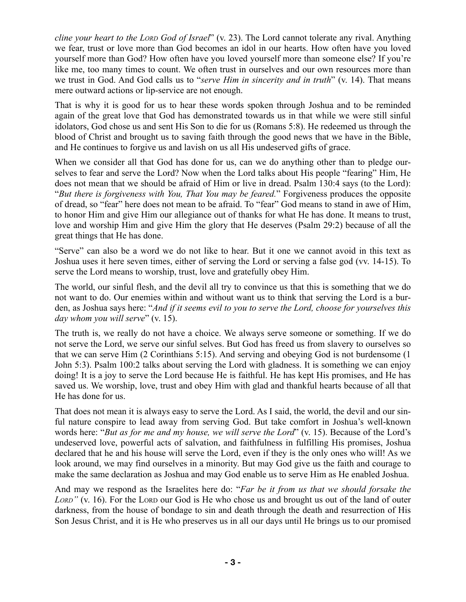*cline your heart to the LORD God of Israel*" (v. 23). The Lord cannot tolerate any rival. Anything we fear, trust or love more than God becomes an idol in our hearts. How often have you loved yourself more than God? How often have you loved yourself more than someone else? If you're like me, too many times to count. We often trust in ourselves and our own resources more than we trust in God. And God calls us to "*serve Him in sincerity and in truth*" (v. 14). That means mere outward actions or lip-service are not enough.

That is why it is good for us to hear these words spoken through Joshua and to be reminded again of the great love that God has demonstrated towards us in that while we were still sinful idolators, God chose us and sent His Son to die for us (Romans 5:8). He redeemed us through the blood of Christ and brought us to saving faith through the good news that we have in the Bible, and He continues to forgive us and lavish on us all His undeserved gifts of grace.

When we consider all that God has done for us, can we do anything other than to pledge ourselves to fear and serve the Lord? Now when the Lord talks about His people "fearing" Him, He does not mean that we should be afraid of Him or live in dread. Psalm 130:4 says (to the Lord): "*But there is forgiveness with You, That You may be feared.*" Forgiveness produces the opposite of dread, so "fear" here does not mean to be afraid. To "fear" God means to stand in awe of Him, to honor Him and give Him our allegiance out of thanks for what He has done. It means to trust, love and worship Him and give Him the glory that He deserves (Psalm 29:2) because of all the great things that He has done.

"Serve" can also be a word we do not like to hear. But it one we cannot avoid in this text as Joshua uses it here seven times, either of serving the Lord or serving a false god (vv. 14-15). To serve the Lord means to worship, trust, love and gratefully obey Him.

The world, our sinful flesh, and the devil all try to convince us that this is something that we do not want to do. Our enemies within and without want us to think that serving the Lord is a burden, as Joshua says here: "*And if it seems evil to you to serve the Lord, choose for yourselves this day whom you will serve*" (v. 15).

The truth is, we really do not have a choice. We always serve someone or something. If we do not serve the Lord, we serve our sinful selves. But God has freed us from slavery to ourselves so that we can serve Him (2 Corinthians 5:15). And serving and obeying God is not burdensome (1 John 5:3). Psalm 100:2 talks about serving the Lord with gladness. It is something we can enjoy doing! It is a joy to serve the Lord because He is faithful. He has kept His promises, and He has saved us. We worship, love, trust and obey Him with glad and thankful hearts because of all that He has done for us.

That does not mean it is always easy to serve the Lord. As I said, the world, the devil and our sinful nature conspire to lead away from serving God. But take comfort in Joshua's well-known words here: "*But as for me and my house, we will serve the Lord*" (v. 15). Because of the Lord's undeserved love, powerful acts of salvation, and faithfulness in fulfilling His promises, Joshua declared that he and his house will serve the Lord, even if they is the only ones who will! As we look around, we may find ourselves in a minority. But may God give us the faith and courage to make the same declaration as Joshua and may God enable us to serve Him as He enabled Joshua.

And may we respond as the Israelites here do: "*Far be it from us that we should forsake the LORD"* (v. 16). For the LORD our God is He who chose us and brought us out of the land of outer darkness, from the house of bondage to sin and death through the death and resurrection of His Son Jesus Christ, and it is He who preserves us in all our days until He brings us to our promised